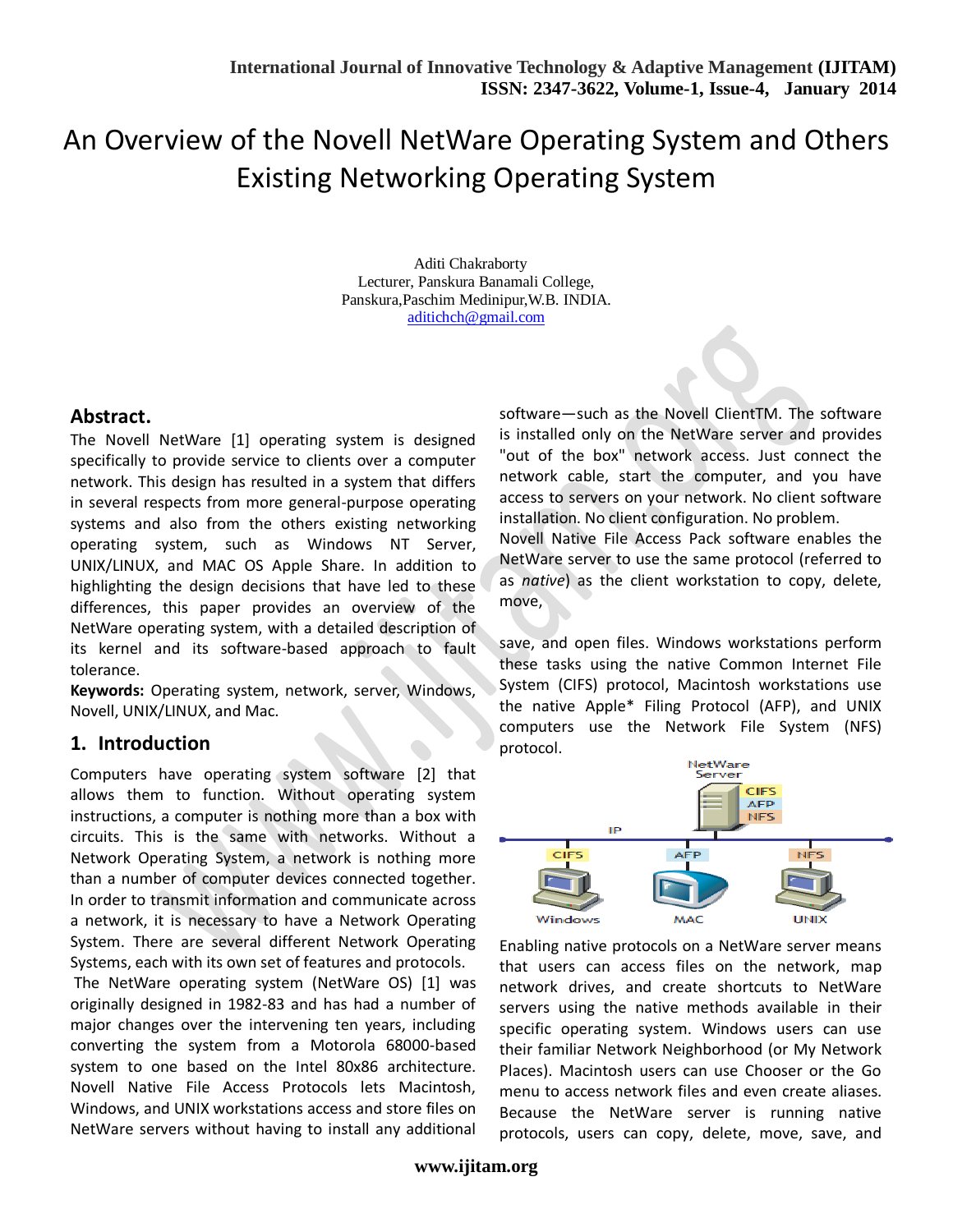# An Overview of the Novell NetWare Operating System and Others Existing Networking Operating System

 Aditi Chakraborty Lecturer, Panskura Banamali College, Panskura,Paschim Medinipur,W.B. INDIA. [aditichch@gmail.com](mailto:aditichch@gmail.com)

### **Abstract.**

The Novell NetWare [1] operating system is designed specifically to provide service to clients over a computer network. This design has resulted in a system that differs in several respects from more general-purpose operating systems and also from the others existing networking operating system, such as Windows NT Server, UNIX/LINUX, and MAC OS Apple Share. In addition to highlighting the design decisions that have led to these differences, this paper provides an overview of the NetWare operating system, with a detailed description of its kernel and its software-based approach to fault tolerance.

**Keywords:** Operating system, network, server, Windows, Novell, UNIX/LINUX, and Mac.

## **1. Introduction**

Computers have operating system software [2] that allows them to function. Without operating system instructions, a computer is nothing more than a box with circuits. This is the same with networks. Without a Network Operating System, a network is nothing more than a number of computer devices connected together. In order to transmit information and communicate across a network, it is necessary to have a Network Operating System. There are several different Network Operating Systems, each with its own set of features and protocols.

The NetWare operating system (NetWare OS) [1] was originally designed in 1982-83 and has had a number of major changes over the intervening ten years, including converting the system from a Motorola 68000-based system to one based on the Intel 80x86 architecture. Novell Native File Access Protocols lets Macintosh, Windows, and UNIX workstations access and store files on NetWare servers without having to install any additional software—such as the Novell ClientTM. The software is installed only on the NetWare server and provides "out of the box" network access. Just connect the network cable, start the computer, and you have access to servers on your network. No client software installation. No client configuration. No problem.

Novell Native File Access Pack software enables the NetWare server to use the same protocol (referred to as *native*) as the client workstation to copy, delete, move,

save, and open files. Windows workstations perform these tasks using the native Common Internet File System (CIFS) protocol, Macintosh workstations use the native Apple\* Filing Protocol (AFP), and UNIX computers use the Network File System (NFS) protocol.



Enabling native protocols on a NetWare server means that users can access files on the network, map network drives, and create shortcuts to NetWare servers using the native methods available in their specific operating system. Windows users can use their familiar Network Neighborhood (or My Network Places). Macintosh users can use Chooser or the Go menu to access network files and even create aliases. Because the NetWare server is running native protocols, users can copy, delete, move, save, and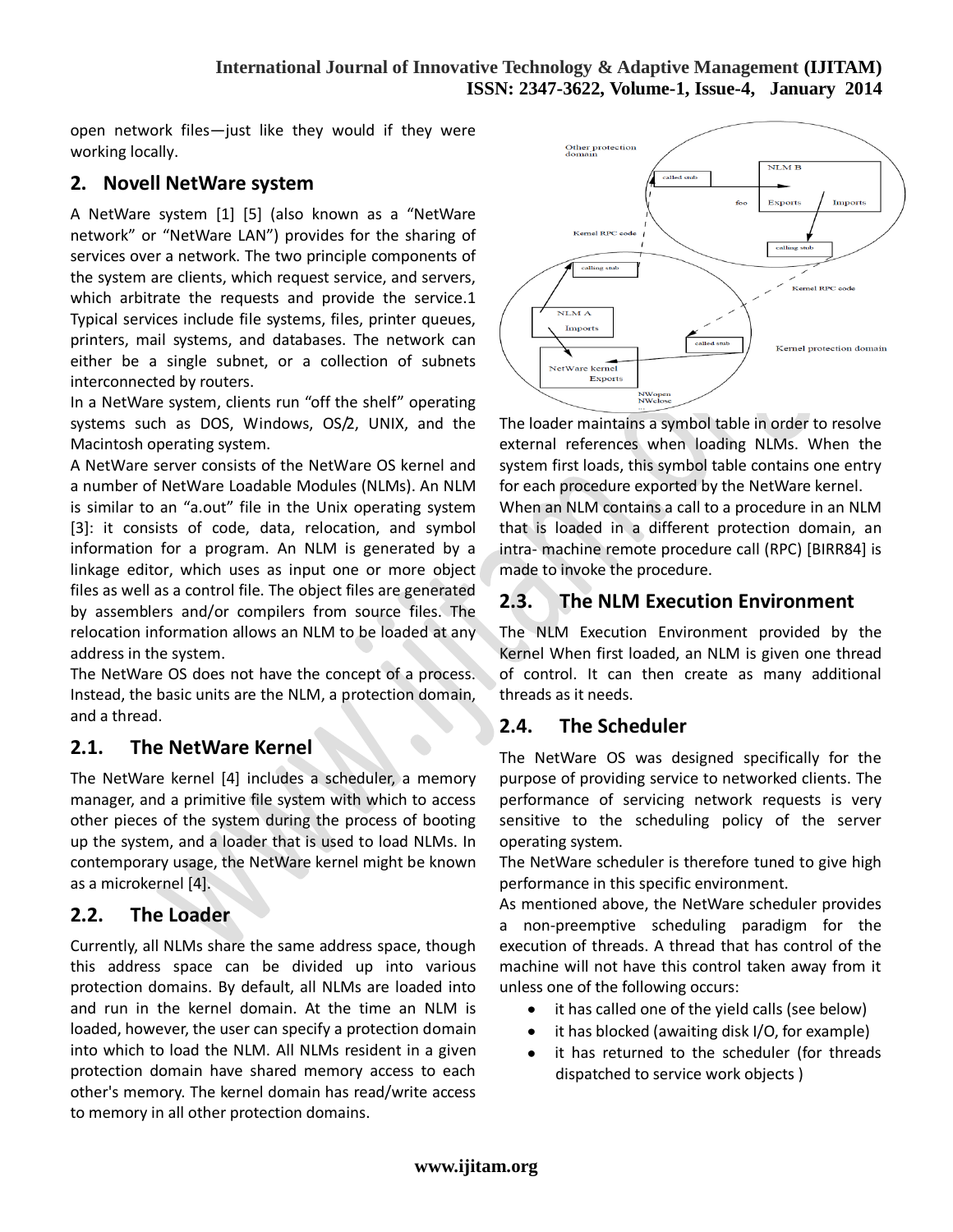#### **International Journal of Innovative Technology & Adaptive Management (IJITAM) ISSN: 2347-3622, Volume-1, Issue-4, January 2014**

open network files—just like they would if they were working locally.

## **2. Novell NetWare system**

A NetWare system [1] [5] (also known as a "NetWare network" or "NetWare LAN") provides for the sharing of services over a network. The two principle components of the system are clients, which request service, and servers, which arbitrate the requests and provide the service.1 Typical services include file systems, files, printer queues, printers, mail systems, and databases. The network can either be a single subnet, or a collection of subnets interconnected by routers.

In a NetWare system, clients run "off the shelf" operating systems such as DOS, Windows, OS/2, UNIX, and the Macintosh operating system.

A NetWare server consists of the NetWare OS kernel and a number of NetWare Loadable Modules (NLMs). An NLM is similar to an "a.out" file in the Unix operating system [3]: it consists of code, data, relocation, and symbol information for a program. An NLM is generated by a linkage editor, which uses as input one or more object files as well as a control file. The object files are generated by assemblers and/or compilers from source files. The relocation information allows an NLM to be loaded at any address in the system.

The NetWare OS does not have the concept of a process. Instead, the basic units are the NLM, a protection domain, and a thread.

# **2.1. The NetWare Kernel**

The NetWare kernel [4] includes a scheduler, a memory manager, and a primitive file system with which to access other pieces of the system during the process of booting up the system, and a loader that is used to load NLMs. In contemporary usage, the NetWare kernel might be known as a microkernel [4].

## **2.2. The Loader**

Currently, all NLMs share the same address space, though this address space can be divided up into various protection domains. By default, all NLMs are loaded into and run in the kernel domain. At the time an NLM is loaded, however, the user can specify a protection domain into which to load the NLM. All NLMs resident in a given protection domain have shared memory access to each other's memory. The kernel domain has read/write access to memory in all other protection domains.



The loader maintains a symbol table in order to resolve external references when loading NLMs. When the system first loads, this symbol table contains one entry for each procedure exported by the NetWare kernel. When an NLM contains a call to a procedure in an NLM that is loaded in a different protection domain, an intra- machine remote procedure call (RPC) [BIRR84] is made to invoke the procedure.

# **2.3. The NLM Execution Environment**

The NLM Execution Environment provided by the Kernel When first loaded, an NLM is given one thread of control. It can then create as many additional threads as it needs.

## **2.4. The Scheduler**

The NetWare OS was designed specifically for the purpose of providing service to networked clients. The performance of servicing network requests is very sensitive to the scheduling policy of the server operating system.

The NetWare scheduler is therefore tuned to give high performance in this specific environment.

As mentioned above, the NetWare scheduler provides a non-preemptive scheduling paradigm for the execution of threads. A thread that has control of the machine will not have this control taken away from it unless one of the following occurs:

- it has called one of the yield calls (see below)
- it has blocked (awaiting disk I/O, for example)
- it has returned to the scheduler (for threads  $\bullet$ dispatched to service work objects )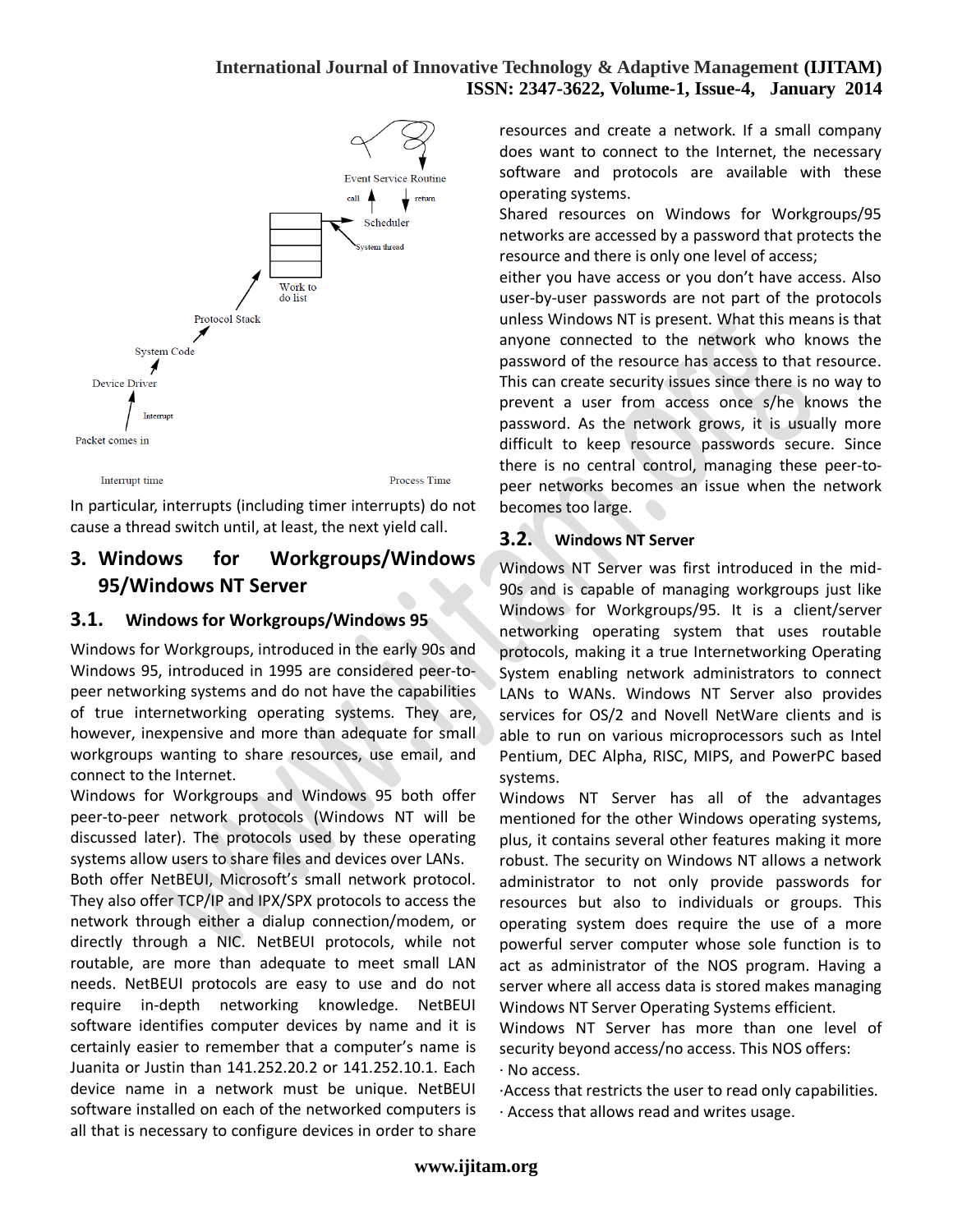### **International Journal of Innovative Technology & Adaptive Management (IJITAM) ISSN: 2347-3622, Volume-1, Issue-4, January 2014**



cause a thread switch until, at least, the next yield call.

# **3. Windows for Workgroups/Windows 95/Windows NT Server**

#### **3.1. Windows for Workgroups/Windows 95**

Windows for Workgroups, introduced in the early 90s and Windows 95, introduced in 1995 are considered peer-topeer networking systems and do not have the capabilities of true internetworking operating systems. They are, however, inexpensive and more than adequate for small workgroups wanting to share resources, use email, and connect to the Internet.

Windows for Workgroups and Windows 95 both offer peer-to-peer network protocols (Windows NT will be discussed later). The protocols used by these operating systems allow users to share files and devices over LANs.

Both offer NetBEUI, Microsoft's small network protocol. They also offer TCP/IP and IPX/SPX protocols to access the network through either a dialup connection/modem, or directly through a NIC. NetBEUI protocols, while not routable, are more than adequate to meet small LAN needs. NetBEUI protocols are easy to use and do not require in-depth networking knowledge. NetBEUI software identifies computer devices by name and it is certainly easier to remember that a computer's name is Juanita or Justin than 141.252.20.2 or 141.252.10.1. Each device name in a network must be unique. NetBEUI software installed on each of the networked computers is all that is necessary to configure devices in order to share

resources and create a network. If a small company does want to connect to the Internet, the necessary software and protocols are available with these operating systems.

Shared resources on Windows for Workgroups/95 networks are accessed by a password that protects the resource and there is only one level of access;

either you have access or you don't have access. Also user-by-user passwords are not part of the protocols unless Windows NT is present. What this means is that anyone connected to the network who knows the password of the resource has access to that resource. This can create security issues since there is no way to prevent a user from access once s/he knows the password. As the network grows, it is usually more difficult to keep resource passwords secure. Since there is no central control, managing these peer-topeer networks becomes an issue when the network becomes too large.

### **3.2. Windows NT Server**

Windows NT Server was first introduced in the mid-90s and is capable of managing workgroups just like Windows for Workgroups/95. It is a client/server networking operating system that uses routable protocols, making it a true Internetworking Operating System enabling network administrators to connect LANs to WANs. Windows NT Server also provides services for OS/2 and Novell NetWare clients and is able to run on various microprocessors such as Intel Pentium, DEC Alpha, RISC, MIPS, and PowerPC based systems.

Windows NT Server has all of the advantages mentioned for the other Windows operating systems, plus, it contains several other features making it more robust. The security on Windows NT allows a network administrator to not only provide passwords for resources but also to individuals or groups. This operating system does require the use of a more powerful server computer whose sole function is to act as administrator of the NOS program. Having a server where all access data is stored makes managing Windows NT Server Operating Systems efficient.

Windows NT Server has more than one level of security beyond access/no access. This NOS offers: · No access.

·Access that restricts the user to read only capabilities. · Access that allows read and writes usage.